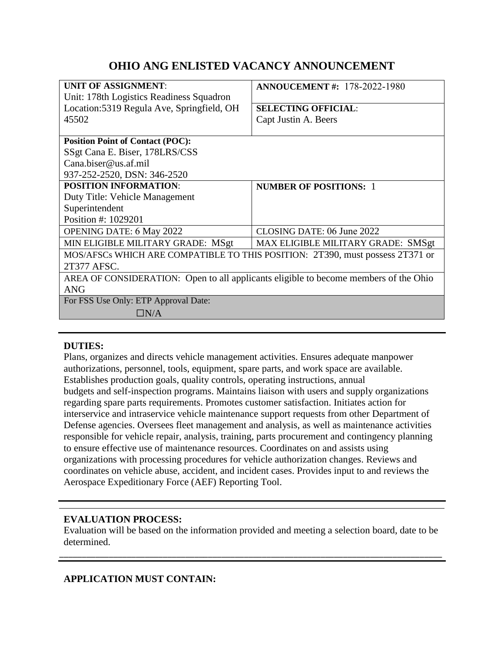# **OHIO ANG ENLISTED VACANCY ANNOUNCEMENT**

| UNIT OF ASSIGNMENT:                                                                  | <b>ANNOUCEMENT #: 178-2022-1980</b> |
|--------------------------------------------------------------------------------------|-------------------------------------|
| Unit: 178th Logistics Readiness Squadron                                             |                                     |
| Location: 5319 Regula Ave, Springfield, OH                                           | <b>SELECTING OFFICIAL:</b>          |
| 45502                                                                                | Capt Justin A. Beers                |
|                                                                                      |                                     |
| <b>Position Point of Contact (POC):</b>                                              |                                     |
| SSgt Cana E. Biser, 178LRS/CSS                                                       |                                     |
| Cana.biser@us.af.mil                                                                 |                                     |
| 937-252-2520, DSN: 346-2520                                                          |                                     |
| <b>POSITION INFORMATION:</b>                                                         | <b>NUMBER OF POSITIONS: 1</b>       |
| Duty Title: Vehicle Management                                                       |                                     |
| Superintendent                                                                       |                                     |
| Position #: 1029201                                                                  |                                     |
| <b>OPENING DATE: 6 May 2022</b>                                                      | CLOSING DATE: 06 June 2022          |
| MIN ELIGIBLE MILITARY GRADE: MSgt                                                    | MAX ELIGIBLE MILITARY GRADE: SMSgt  |
| MOS/AFSCs WHICH ARE COMPATIBLE TO THIS POSITION: 2T390, must possess 2T371 or        |                                     |
| 2T377 AFSC.                                                                          |                                     |
| AREA OF CONSIDERATION: Open to all applicants eligible to become members of the Ohio |                                     |
| <b>ANG</b>                                                                           |                                     |
| For FSS Use Only: ETP Approval Date:                                                 |                                     |
| $\Box N/A$                                                                           |                                     |
|                                                                                      |                                     |

#### **DUTIES:**

Plans, organizes and directs vehicle management activities. Ensures adequate manpower authorizations, personnel, tools, equipment, spare parts, and work space are available. Establishes production goals, quality controls, operating instructions, annual budgets and self-inspection programs. Maintains liaison with users and supply organizations regarding spare parts requirements. Promotes customer satisfaction. Initiates action for interservice and intraservice vehicle maintenance support requests from other Department of Defense agencies. Oversees fleet management and analysis, as well as maintenance activities responsible for vehicle repair, analysis, training, parts procurement and contingency planning to ensure effective use of maintenance resources. Coordinates on and assists using organizations with processing procedures for vehicle authorization changes. Reviews and coordinates on vehicle abuse, accident, and incident cases. Provides input to and reviews the Aerospace Expeditionary Force (AEF) Reporting Tool.

### **EVALUATION PROCESS:**

Evaluation will be based on the information provided and meeting a selection board, date to be determined.

\_\_\_\_\_\_\_\_\_\_\_\_\_\_\_\_\_\_\_\_\_\_\_\_\_\_\_\_\_\_\_\_\_\_\_\_\_\_\_\_\_\_\_\_\_\_\_\_\_\_\_\_\_\_\_\_\_\_\_\_\_\_\_\_\_\_\_\_\_\_\_\_\_\_\_\_\_\_\_\_\_\_\_\_\_

### **APPLICATION MUST CONTAIN:**